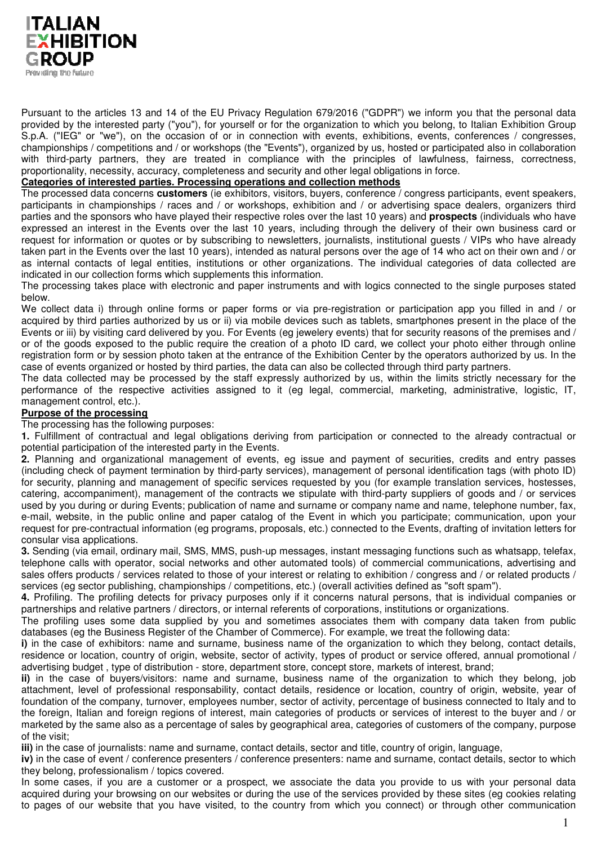

Pursuant to the articles 13 and 14 of the EU Privacy Regulation 679/2016 ("GDPR") we inform you that the personal data provided by the interested party ("you"), for yourself or for the organization to which you belong, to Italian Exhibition Group S.p.A. ("IEG" or "we"), on the occasion of or in connection with events, exhibitions, events, conferences / congresses, championships / competitions and / or workshops (the "Events"), organized by us, hosted or participated also in collaboration with third-party partners, they are treated in compliance with the principles of lawfulness, fairness, correctness, proportionality, necessity, accuracy, completeness and security and other legal obligations in force.

## **Categories of interested parties. Processing operations and collection methods**

The processed data concerns **customers** (ie exhibitors, visitors, buyers, conference / congress participants, event speakers, participants in championships / races and / or workshops, exhibition and / or advertising space dealers, organizers third parties and the sponsors who have played their respective roles over the last 10 years) and **prospects** (individuals who have expressed an interest in the Events over the last 10 years, including through the delivery of their own business card or request for information or quotes or by subscribing to newsletters, journalists, institutional guests / VIPs who have already taken part in the Events over the last 10 years), intended as natural persons over the age of 14 who act on their own and / or as internal contacts of legal entities, institutions or other organizations. The individual categories of data collected are indicated in our collection forms which supplements this information.

The processing takes place with electronic and paper instruments and with logics connected to the single purposes stated below.

We collect data i) through online forms or paper forms or via pre-registration or participation app you filled in and / or acquired by third parties authorized by us or ii) via mobile devices such as tablets, smartphones present in the place of the Events or iii) by visiting card delivered by you. For Events (eg jewelery events) that for security reasons of the premises and / or of the goods exposed to the public require the creation of a photo ID card, we collect your photo either through online registration form or by session photo taken at the entrance of the Exhibition Center by the operators authorized by us. In the case of events organized or hosted by third parties, the data can also be collected through third party partners.

The data collected may be processed by the staff expressly authorized by us, within the limits strictly necessary for the performance of the respective activities assigned to it (eg legal, commercial, marketing, administrative, logistic, IT, management control, etc.).

# **Purpose of the processing**

The processing has the following purposes:

**1.** Fulfillment of contractual and legal obligations deriving from participation or connected to the already contractual or potential participation of the interested party in the Events.

**2.** Planning and organizational management of events, eg issue and payment of securities, credits and entry passes (including check of payment termination by third-party services), management of personal identification tags (with photo ID) for security, planning and management of specific services requested by you (for example translation services, hostesses, catering, accompaniment), management of the contracts we stipulate with third-party suppliers of goods and / or services used by you during or during Events; publication of name and surname or company name and name, telephone number, fax, e-mail, website, in the public online and paper catalog of the Event in which you participate; communication, upon your request for pre-contractual information (eg programs, proposals, etc.) connected to the Events, drafting of invitation letters for consular visa applications.

**3.** Sending (via email, ordinary mail, SMS, MMS, push-up messages, instant messaging functions such as whatsapp, telefax, telephone calls with operator, social networks and other automated tools) of commercial communications, advertising and sales offers products / services related to those of your interest or relating to exhibition / congress and / or related products / services (eg sector publishing, championships / competitions, etc.) (overall activities defined as "soft spam").

**4.** Profiling. The profiling detects for privacy purposes only if it concerns natural persons, that is individual companies or partnerships and relative partners / directors, or internal referents of corporations, institutions or organizations.

The profiling uses some data supplied by you and sometimes associates them with company data taken from public databases (eg the Business Register of the Chamber of Commerce). For example, we treat the following data:

**i)** in the case of exhibitors: name and surname, business name of the organization to which they belong, contact details, residence or location, country of origin, website, sector of activity, types of product or service offered, annual promotional / advertising budget , type of distribution - store, department store, concept store, markets of interest, brand;

**ii)** in the case of buyers/visitors: name and surname, business name of the organization to which they belong, job attachment, level of professional responsability, contact details, residence or location, country of origin, website, year of foundation of the company, turnover, employees number, sector of activity, percentage of business connected to Italy and to the foreign, Italian and foreign regions of interest, main categories of products or services of interest to the buyer and / or marketed by the same also as a percentage of sales by geographical area, categories of customers of the company, purpose of the visit;

**iii)** in the case of journalists: name and surname, contact details, sector and title, country of origin, language,

**iv)** in the case of event / conference presenters / conference presenters: name and surname, contact details, sector to which they belong, professionalism / topics covered.

In some cases, if you are a customer or a prospect, we associate the data you provide to us with your personal data acquired during your browsing on our websites or during the use of the services provided by these sites (eg cookies relating to pages of our website that you have visited, to the country from which you connect) or through other communication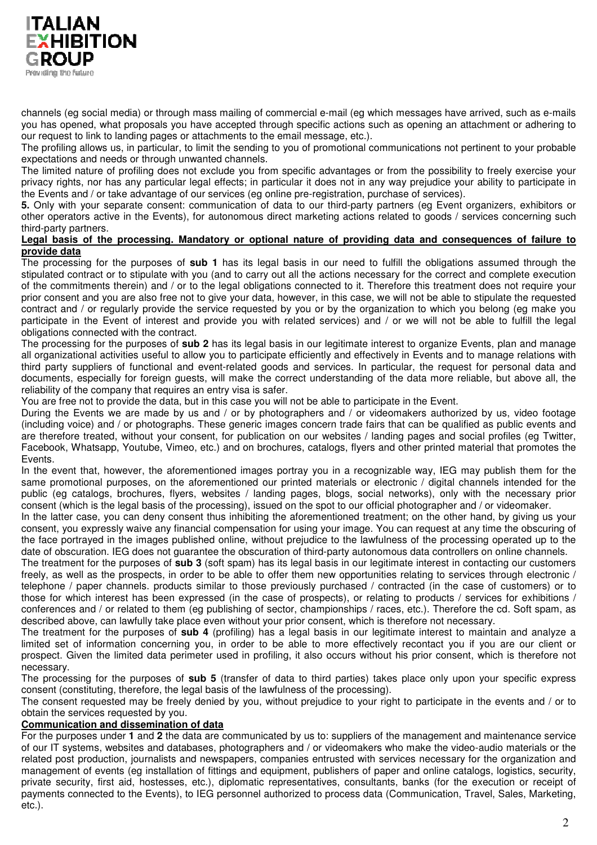

channels (eg social media) or through mass mailing of commercial e-mail (eg which messages have arrived, such as e-mails you has opened, what proposals you have accepted through specific actions such as opening an attachment or adhering to our request to link to landing pages or attachments to the email message, etc.).

The profiling allows us, in particular, to limit the sending to you of promotional communications not pertinent to your probable expectations and needs or through unwanted channels.

The limited nature of profiling does not exclude you from specific advantages or from the possibility to freely exercise your privacy rights, nor has any particular legal effects; in particular it does not in any way prejudice your ability to participate in the Events and / or take advantage of our services (eg online pre-registration, purchase of services).

**5.** Only with your separate consent: communication of data to our third-party partners (eg Event organizers, exhibitors or other operators active in the Events), for autonomous direct marketing actions related to goods / services concerning such third-party partners.

#### **Legal basis of the processing. Mandatory or optional nature of providing data and consequences of failure to provide data**

The processing for the purposes of **sub 1** has its legal basis in our need to fulfill the obligations assumed through the stipulated contract or to stipulate with you (and to carry out all the actions necessary for the correct and complete execution of the commitments therein) and / or to the legal obligations connected to it. Therefore this treatment does not require your prior consent and you are also free not to give your data, however, in this case, we will not be able to stipulate the requested contract and / or regularly provide the service requested by you or by the organization to which you belong (eg make you participate in the Event of interest and provide you with related services) and / or we will not be able to fulfill the legal obligations connected with the contract.

The processing for the purposes of **sub 2** has its legal basis in our legitimate interest to organize Events, plan and manage all organizational activities useful to allow you to participate efficiently and effectively in Events and to manage relations with third party suppliers of functional and event-related goods and services. In particular, the request for personal data and documents, especially for foreign guests, will make the correct understanding of the data more reliable, but above all, the reliability of the company that requires an entry visa is safer.

You are free not to provide the data, but in this case you will not be able to participate in the Event.

During the Events we are made by us and / or by photographers and / or videomakers authorized by us, video footage (including voice) and / or photographs. These generic images concern trade fairs that can be qualified as public events and are therefore treated, without your consent, for publication on our websites / landing pages and social profiles (eg Twitter, Facebook, Whatsapp, Youtube, Vimeo, etc.) and on brochures, catalogs, flyers and other printed material that promotes the **Events** 

In the event that, however, the aforementioned images portray you in a recognizable way, IEG may publish them for the same promotional purposes, on the aforementioned our printed materials or electronic / digital channels intended for the public (eg catalogs, brochures, flyers, websites / landing pages, blogs, social networks), only with the necessary prior consent (which is the legal basis of the processing), issued on the spot to our official photographer and / or videomaker.

In the latter case, you can deny consent thus inhibiting the aforementioned treatment; on the other hand, by giving us your consent, you expressly waive any financial compensation for using your image. You can request at any time the obscuring of the face portrayed in the images published online, without prejudice to the lawfulness of the processing operated up to the date of obscuration. IEG does not guarantee the obscuration of third-party autonomous data controllers on online channels.

The treatment for the purposes of **sub 3** (soft spam) has its legal basis in our legitimate interest in contacting our customers freely, as well as the prospects, in order to be able to offer them new opportunities relating to services through electronic / telephone / paper channels. products similar to those previously purchased / contracted (in the case of customers) or to those for which interest has been expressed (in the case of prospects), or relating to products / services for exhibitions / conferences and / or related to them (eg publishing of sector, championships / races, etc.). Therefore the cd. Soft spam, as described above, can lawfully take place even without your prior consent, which is therefore not necessary.

The treatment for the purposes of **sub 4** (profiling) has a legal basis in our legitimate interest to maintain and analyze a limited set of information concerning you, in order to be able to more effectively recontact you if you are our client or prospect. Given the limited data perimeter used in profiling, it also occurs without his prior consent, which is therefore not necessary.

The processing for the purposes of **sub 5** (transfer of data to third parties) takes place only upon your specific express consent (constituting, therefore, the legal basis of the lawfulness of the processing).

The consent requested may be freely denied by you, without prejudice to your right to participate in the events and / or to obtain the services requested by you.

# **Communication and dissemination of data**

For the purposes under **1** and **2** the data are communicated by us to: suppliers of the management and maintenance service of our IT systems, websites and databases, photographers and / or videomakers who make the video-audio materials or the related post production, journalists and newspapers, companies entrusted with services necessary for the organization and management of events (eg installation of fittings and equipment, publishers of paper and online catalogs, logistics, security, private security, first aid, hostesses, etc.), diplomatic representatives, consultants, banks (for the execution or receipt of payments connected to the Events), to IEG personnel authorized to process data (Communication, Travel, Sales, Marketing, etc.).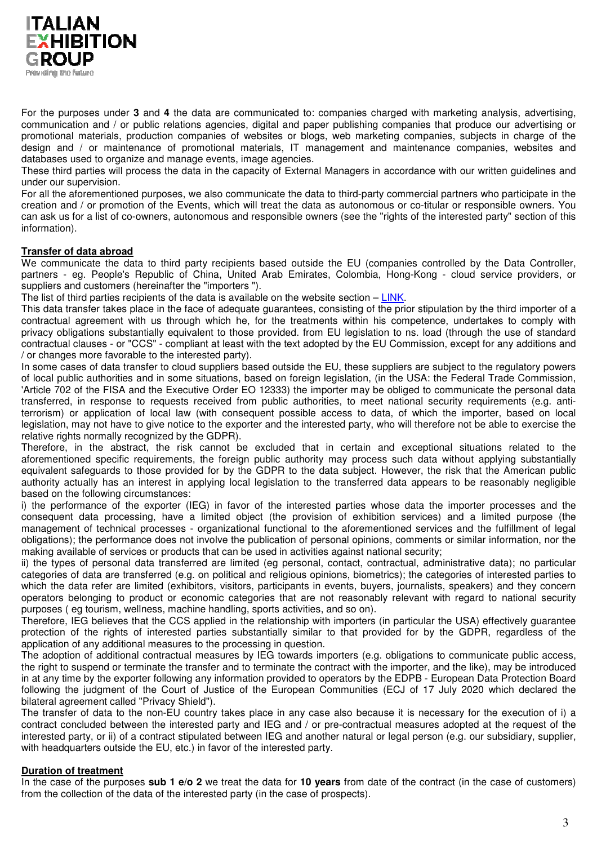

For the purposes under **3** and **4** the data are communicated to: companies charged with marketing analysis, advertising, communication and / or public relations agencies, digital and paper publishing companies that produce our advertising or promotional materials, production companies of websites or blogs, web marketing companies, subjects in charge of the design and / or maintenance of promotional materials, IT management and maintenance companies, websites and databases used to organize and manage events, image agencies.

These third parties will process the data in the capacity of External Managers in accordance with our written guidelines and under our supervision.

For all the aforementioned purposes, we also communicate the data to third-party commercial partners who participate in the creation and / or promotion of the Events, which will treat the data as autonomous or co-titular or responsible owners. You can ask us for a list of co-owners, autonomous and responsible owners (see the "rights of the interested party" section of this information).

#### **Transfer of data abroad**

We communicate the data to third party recipients based outside the EU (companies controlled by the Data Controller, partners - eg. People's Republic of China, United Arab Emirates, Colombia, Hong-Kong - cloud service providers, or suppliers and customers (hereinafter the "importers ").

The list of third parties recipients of the data is available on the website section – LINK.

This data transfer takes place in the face of adequate guarantees, consisting of the prior stipulation by the third importer of a contractual agreement with us through which he, for the treatments within his competence, undertakes to comply with privacy obligations substantially equivalent to those provided. from EU legislation to ns. load (through the use of standard contractual clauses - or "CCS" - compliant at least with the text adopted by the EU Commission, except for any additions and / or changes more favorable to the interested party).

In some cases of data transfer to cloud suppliers based outside the EU, these suppliers are subject to the regulatory powers of local public authorities and in some situations, based on foreign legislation, (in the USA: the Federal Trade Commission, 'Article 702 of the FISA and the Executive Order EO 12333) the importer may be obliged to communicate the personal data transferred, in response to requests received from public authorities, to meet national security requirements (e.g. antiterrorism) or application of local law (with consequent possible access to data, of which the importer, based on local legislation, may not have to give notice to the exporter and the interested party, who will therefore not be able to exercise the relative rights normally recognized by the GDPR).

Therefore, in the abstract, the risk cannot be excluded that in certain and exceptional situations related to the aforementioned specific requirements, the foreign public authority may process such data without applying substantially equivalent safeguards to those provided for by the GDPR to the data subject. However, the risk that the American public authority actually has an interest in applying local legislation to the transferred data appears to be reasonably negligible based on the following circumstances:

i) the performance of the exporter (IEG) in favor of the interested parties whose data the importer processes and the consequent data processing, have a limited object (the provision of exhibition services) and a limited purpose (the management of technical processes - organizational functional to the aforementioned services and the fulfillment of legal obligations); the performance does not involve the publication of personal opinions, comments or similar information, nor the making available of services or products that can be used in activities against national security;

ii) the types of personal data transferred are limited (eg personal, contact, contractual, administrative data); no particular categories of data are transferred (e.g. on political and religious opinions, biometrics); the categories of interested parties to which the data refer are limited (exhibitors, visitors, participants in events, buyers, journalists, speakers) and they concern operators belonging to product or economic categories that are not reasonably relevant with regard to national security purposes ( eg tourism, wellness, machine handling, sports activities, and so on).

Therefore, IEG believes that the CCS applied in the relationship with importers (in particular the USA) effectively guarantee protection of the rights of interested parties substantially similar to that provided for by the GDPR, regardless of the application of any additional measures to the processing in question.

The adoption of additional contractual measures by IEG towards importers (e.g. obligations to communicate public access, the right to suspend or terminate the transfer and to terminate the contract with the importer, and the like), may be introduced in at any time by the exporter following any information provided to operators by the EDPB - European Data Protection Board following the judgment of the Court of Justice of the European Communities (ECJ of 17 July 2020 which declared the bilateral agreement called "Privacy Shield").

The transfer of data to the non-EU country takes place in any case also because it is necessary for the execution of i) a contract concluded between the interested party and IEG and / or pre-contractual measures adopted at the request of the interested party, or ii) of a contract stipulated between IEG and another natural or legal person (e.g. our subsidiary, supplier, with headquarters outside the EU, etc.) in favor of the interested party.

## **Duration of treatment**

In the case of the purposes **sub 1 e/o 2** we treat the data for **10 years** from date of the contract (in the case of customers) from the collection of the data of the interested party (in the case of prospects).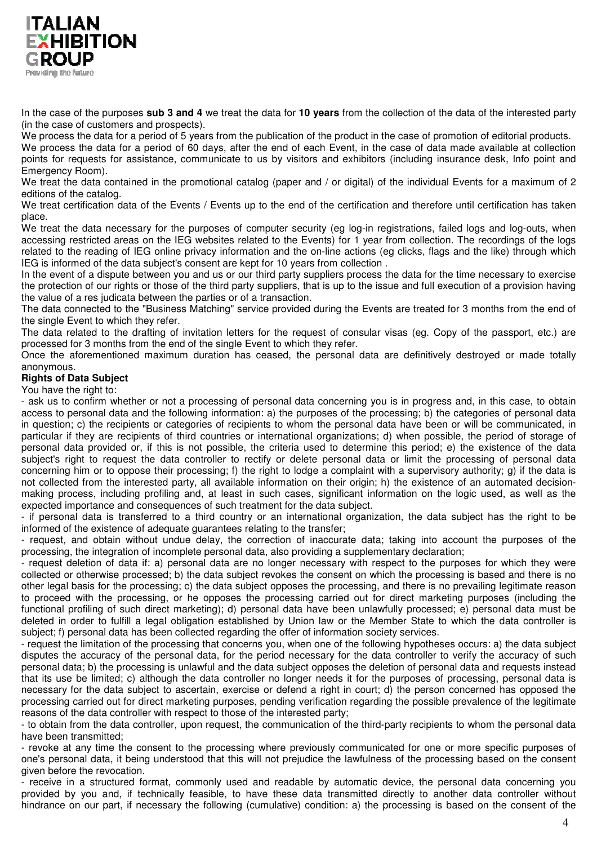

In the case of the purposes **sub 3 and 4** we treat the data for **10 years** from the collection of the data of the interested party (in the case of customers and prospects).

We process the data for a period of 5 years from the publication of the product in the case of promotion of editorial products. We process the data for a period of 60 days, after the end of each Event, in the case of data made available at collection points for requests for assistance, communicate to us by visitors and exhibitors (including insurance desk, Info point and Emergency Room).

We treat the data contained in the promotional catalog (paper and / or digital) of the individual Events for a maximum of 2 editions of the catalog.

We treat certification data of the Events / Events up to the end of the certification and therefore until certification has taken place.

We treat the data necessary for the purposes of computer security (eg log-in registrations, failed logs and log-outs, when accessing restricted areas on the IEG websites related to the Events) for 1 year from collection. The recordings of the logs related to the reading of IEG online privacy information and the on-line actions (eg clicks, flags and the like) through which IEG is informed of the data subject's consent are kept for 10 years from collection .

In the event of a dispute between you and us or our third party suppliers process the data for the time necessary to exercise the protection of our rights or those of the third party suppliers, that is up to the issue and full execution of a provision having the value of a res judicata between the parties or of a transaction.

The data connected to the "Business Matching" service provided during the Events are treated for 3 months from the end of the single Event to which they refer.

The data related to the drafting of invitation letters for the request of consular visas (eg. Copy of the passport, etc.) are processed for 3 months from the end of the single Event to which they refer.

Once the aforementioned maximum duration has ceased, the personal data are definitively destroyed or made totally anonymous.

# **Rights of Data Subject**

You have the right to:

- ask us to confirm whether or not a processing of personal data concerning you is in progress and, in this case, to obtain access to personal data and the following information: a) the purposes of the processing; b) the categories of personal data in question; c) the recipients or categories of recipients to whom the personal data have been or will be communicated, in particular if they are recipients of third countries or international organizations; d) when possible, the period of storage of personal data provided or, if this is not possible, the criteria used to determine this period; e) the existence of the data subject's right to request the data controller to rectify or delete personal data or limit the processing of personal data concerning him or to oppose their processing; f) the right to lodge a complaint with a supervisory authority; g) if the data is not collected from the interested party, all available information on their origin; h) the existence of an automated decisionmaking process, including profiling and, at least in such cases, significant information on the logic used, as well as the expected importance and consequences of such treatment for the data subject.

- if personal data is transferred to a third country or an international organization, the data subject has the right to be informed of the existence of adequate guarantees relating to the transfer;

- request, and obtain without undue delay, the correction of inaccurate data; taking into account the purposes of the processing, the integration of incomplete personal data, also providing a supplementary declaration;

- request deletion of data if: a) personal data are no longer necessary with respect to the purposes for which they were collected or otherwise processed; b) the data subject revokes the consent on which the processing is based and there is no other legal basis for the processing; c) the data subject opposes the processing, and there is no prevailing legitimate reason to proceed with the processing, or he opposes the processing carried out for direct marketing purposes (including the functional profiling of such direct marketing); d) personal data have been unlawfully processed; e) personal data must be deleted in order to fulfill a legal obligation established by Union law or the Member State to which the data controller is subject; f) personal data has been collected regarding the offer of information society services.

- request the limitation of the processing that concerns you, when one of the following hypotheses occurs: a) the data subject disputes the accuracy of the personal data, for the period necessary for the data controller to verify the accuracy of such personal data; b) the processing is unlawful and the data subject opposes the deletion of personal data and requests instead that its use be limited; c) although the data controller no longer needs it for the purposes of processing, personal data is necessary for the data subject to ascertain, exercise or defend a right in court; d) the person concerned has opposed the processing carried out for direct marketing purposes, pending verification regarding the possible prevalence of the legitimate reasons of the data controller with respect to those of the interested party;

- to obtain from the data controller, upon request, the communication of the third-party recipients to whom the personal data have been transmitted;

- revoke at any time the consent to the processing where previously communicated for one or more specific purposes of one's personal data, it being understood that this will not prejudice the lawfulness of the processing based on the consent given before the revocation.

- receive in a structured format, commonly used and readable by automatic device, the personal data concerning you provided by you and, if technically feasible, to have these data transmitted directly to another data controller without hindrance on our part, if necessary the following (cumulative) condition: a) the processing is based on the consent of the